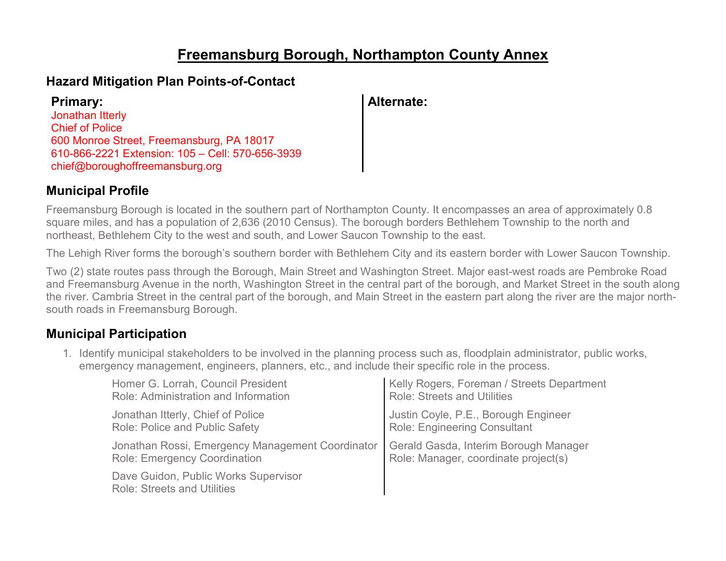## **Freemansburg Borough, Northampton County Annex**

#### **Hazard Mitigation Plan Points-of-Contact**

| <b>Primary:</b>                                  | Alternate: |
|--------------------------------------------------|------------|
| Jonathan Itterly                                 |            |
| <b>Chief of Police</b>                           |            |
| 600 Monroe Street, Freemansburg, PA 18017        |            |
| 610-866-2221 Extension: 105 - Cell: 570-656-3939 |            |
| chief@boroughoffreemansburg.org                  |            |

#### **Municipal Profile**

Freemansburg Borough is located in the southern part of Northampton County. It encompasses an area of approximately 0.8 square miles, and has a population of 2,636 (2010 Census). The borough borders Bethlehem Township to the north and northeast, Bethlehem City to the west and south, and Lower Saucon Township to the east.

The Lehigh River forms the borough's southern border with Bethlehem City and its eastern border with Lower Saucon Township.

Two (2) state routes pass through the Borough, Main Street and Washington Street. Major east-west roads are Pembroke Road and Freemansburg Avenue in the north, Washington Street in the central part of the borough, and Market Street in the south along the river. Cambria Street in the central part of the borough, and Main Street in the eastern part along the river are the major northsouth roads in Freemansburg Borough.

### **Municipal Participation**

1. Identify municipal stakeholders to be involved in the planning process such as, floodplain administrator, public works, emergency management, engineers, planners, etc., and include their specific role in the process.

| Homer G. Lorrah, Council President                                         | Kelly Rogers, Foreman / Streets Department |
|----------------------------------------------------------------------------|--------------------------------------------|
| Role: Administration and Information                                       | <b>Role: Streets and Utilities</b>         |
| Jonathan Itterly, Chief of Police                                          | Justin Coyle, P.E., Borough Engineer       |
| Role: Police and Public Safety                                             | Role: Engineering Consultant               |
| Jonathan Rossi, Emergency Management Coordinator                           | Gerald Gasda, Interim Borough Manager      |
| <b>Role: Emergency Coordination</b>                                        | Role: Manager, coordinate project(s)       |
| Dave Guidon, Public Works Supervisor<br><b>Role: Streets and Utilities</b> |                                            |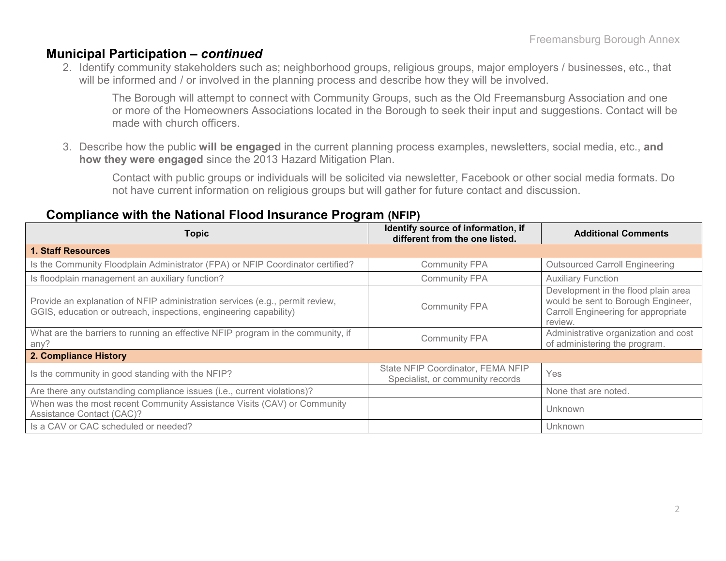#### **Municipal Participation –** *continued*

2. Identify community stakeholders such as; neighborhood groups, religious groups, major employers / businesses, etc., that will be informed and / or involved in the planning process and describe how they will be involved.

The Borough will attempt to connect with Community Groups, such as the Old Freemansburg Association and one or more of the Homeowners Associations located in the Borough to seek their input and suggestions. Contact will be made with church officers.

3. Describe how the public **will be engaged** in the current planning process examples, newsletters, social media, etc., **and how they were engaged** since the 2013 Hazard Mitigation Plan.

Contact with public groups or individuals will be solicited via newsletter, Facebook or other social media formats. Do not have current information on religious groups but will gather for future contact and discussion.

#### **Compliance with the National Flood Insurance Program (NFIP)**

| <b>Topic</b>                                                                                                                                      | Identify source of information, if<br>different from the one listed.  | <b>Additional Comments</b>                                                                                                  |
|---------------------------------------------------------------------------------------------------------------------------------------------------|-----------------------------------------------------------------------|-----------------------------------------------------------------------------------------------------------------------------|
| <b>1. Staff Resources</b>                                                                                                                         |                                                                       |                                                                                                                             |
| Is the Community Floodplain Administrator (FPA) or NFIP Coordinator certified?                                                                    | <b>Community FPA</b>                                                  | <b>Outsourced Carroll Engineering</b>                                                                                       |
| Is floodplain management an auxiliary function?                                                                                                   | <b>Community FPA</b>                                                  | <b>Auxiliary Function</b>                                                                                                   |
| Provide an explanation of NFIP administration services (e.g., permit review,<br>GGIS, education or outreach, inspections, engineering capability) | <b>Community FPA</b>                                                  | Development in the flood plain area<br>would be sent to Borough Engineer,<br>Carroll Engineering for appropriate<br>review. |
| What are the barriers to running an effective NFIP program in the community, if<br>any?                                                           | <b>Community FPA</b>                                                  | Administrative organization and cost<br>of administering the program.                                                       |
| 2. Compliance History                                                                                                                             |                                                                       |                                                                                                                             |
| Is the community in good standing with the NFIP?                                                                                                  | State NFIP Coordinator, FEMA NFIP<br>Specialist, or community records | Yes                                                                                                                         |
| Are there any outstanding compliance issues (i.e., current violations)?                                                                           |                                                                       | None that are noted.                                                                                                        |
| When was the most recent Community Assistance Visits (CAV) or Community<br>Assistance Contact (CAC)?                                              |                                                                       | Unknown                                                                                                                     |
| Is a CAV or CAC scheduled or needed?                                                                                                              |                                                                       | Unknown                                                                                                                     |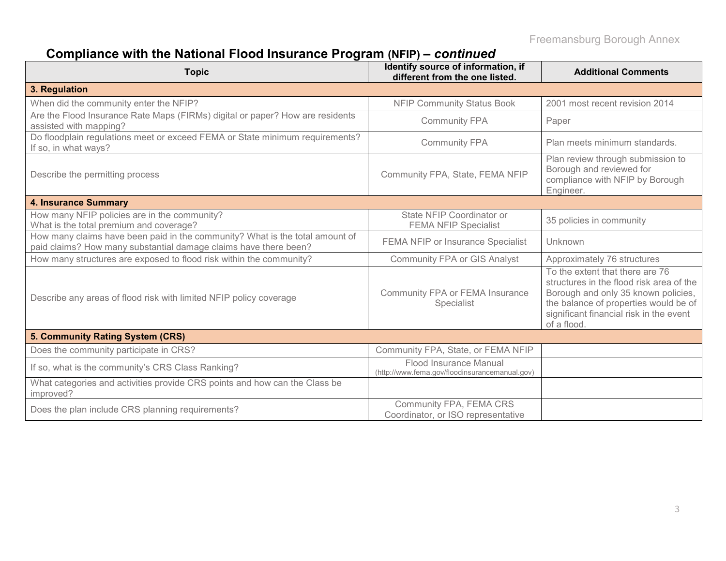# **Compliance with the National Flood Insurance Program (NFIP) –** *continued*

| <b>Topic</b>                                                                                                                                     | Identify source of information, if<br>different from the one listed.     | <b>Additional Comments</b>                                                                                                                                                                                            |
|--------------------------------------------------------------------------------------------------------------------------------------------------|--------------------------------------------------------------------------|-----------------------------------------------------------------------------------------------------------------------------------------------------------------------------------------------------------------------|
| 3. Regulation                                                                                                                                    |                                                                          |                                                                                                                                                                                                                       |
| When did the community enter the NFIP?                                                                                                           | <b>NFIP Community Status Book</b>                                        | 2001 most recent revision 2014                                                                                                                                                                                        |
| Are the Flood Insurance Rate Maps (FIRMs) digital or paper? How are residents<br>assisted with mapping?                                          | <b>Community FPA</b>                                                     | Paper                                                                                                                                                                                                                 |
| Do floodplain regulations meet or exceed FEMA or State minimum requirements?<br>If so, in what ways?                                             | <b>Community FPA</b>                                                     | Plan meets minimum standards.                                                                                                                                                                                         |
| Describe the permitting process                                                                                                                  | Community FPA, State, FEMA NFIP                                          | Plan review through submission to<br>Borough and reviewed for<br>compliance with NFIP by Borough<br>Engineer.                                                                                                         |
| <b>4. Insurance Summary</b>                                                                                                                      |                                                                          |                                                                                                                                                                                                                       |
| How many NFIP policies are in the community?<br>What is the total premium and coverage?                                                          | State NFIP Coordinator or<br><b>FEMA NFIP Specialist</b>                 | 35 policies in community                                                                                                                                                                                              |
| How many claims have been paid in the community? What is the total amount of<br>paid claims? How many substantial damage claims have there been? | FEMA NFIP or Insurance Specialist                                        | Unknown                                                                                                                                                                                                               |
| How many structures are exposed to flood risk within the community?                                                                              | <b>Community FPA or GIS Analyst</b>                                      | Approximately 76 structures                                                                                                                                                                                           |
| Describe any areas of flood risk with limited NFIP policy coverage                                                                               | Community FPA or FEMA Insurance<br>Specialist                            | To the extent that there are 76<br>structures in the flood risk area of the<br>Borough and only 35 known policies,<br>the balance of properties would be of<br>significant financial risk in the event<br>of a flood. |
| 5. Community Rating System (CRS)                                                                                                                 |                                                                          |                                                                                                                                                                                                                       |
| Does the community participate in CRS?                                                                                                           | Community FPA, State, or FEMA NFIP                                       |                                                                                                                                                                                                                       |
| If so, what is the community's CRS Class Ranking?                                                                                                | Flood Insurance Manual<br>(http://www.fema.gov/floodinsurancemanual.gov) |                                                                                                                                                                                                                       |
| What categories and activities provide CRS points and how can the Class be<br>improved?                                                          |                                                                          |                                                                                                                                                                                                                       |
| Does the plan include CRS planning requirements?                                                                                                 | Community FPA, FEMA CRS<br>Coordinator, or ISO representative            |                                                                                                                                                                                                                       |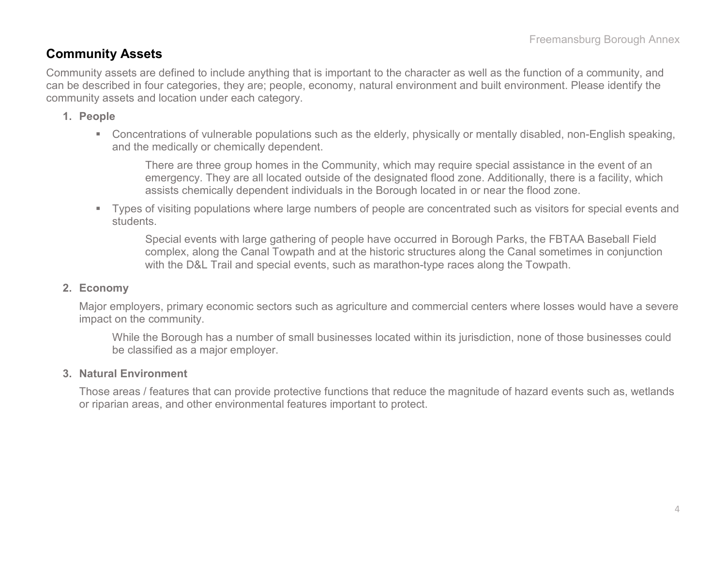#### **Community Assets**

Community assets are defined to include anything that is important to the character as well as the function of a community, and can be described in four categories, they are; people, economy, natural environment and built environment. Please identify the community assets and location under each category.

#### **1. People**

 Concentrations of vulnerable populations such as the elderly, physically or mentally disabled, non-English speaking, and the medically or chemically dependent.

There are three group homes in the Community, which may require special assistance in the event of an emergency. They are all located outside of the designated flood zone. Additionally, there is a facility, which assists chemically dependent individuals in the Borough located in or near the flood zone.

 Types of visiting populations where large numbers of people are concentrated such as visitors for special events and students.

Special events with large gathering of people have occurred in Borough Parks, the FBTAA Baseball Field complex, along the Canal Towpath and at the historic structures along the Canal sometimes in conjunction with the D&L Trail and special events, such as marathon-type races along the Towpath.

#### **2. Economy**

Major employers, primary economic sectors such as agriculture and commercial centers where losses would have a severe impact on the community.

While the Borough has a number of small businesses located within its jurisdiction, none of those businesses could be classified as a major employer.

#### **3. Natural Environment**

Those areas / features that can provide protective functions that reduce the magnitude of hazard events such as, wetlands or riparian areas, and other environmental features important to protect.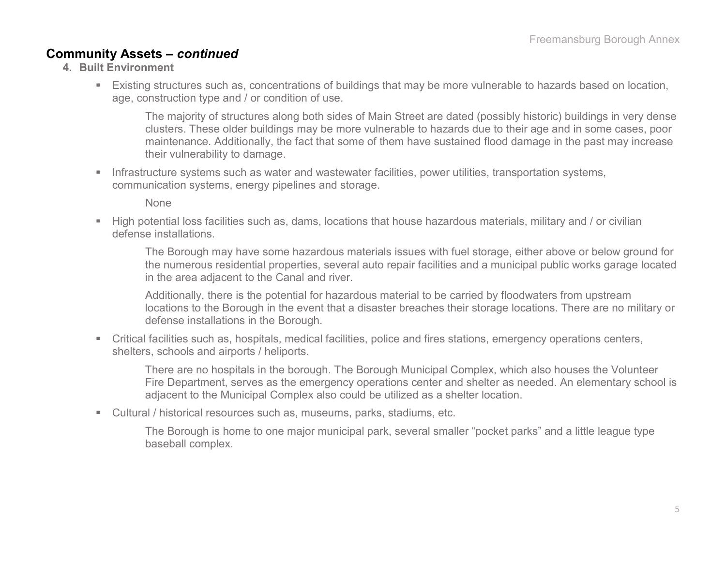#### **Community Assets –** *continued*

- **4. Built Environment**
	- Existing structures such as, concentrations of buildings that may be more vulnerable to hazards based on location, age, construction type and / or condition of use.

The majority of structures along both sides of Main Street are dated (possibly historic) buildings in very dense clusters. These older buildings may be more vulnerable to hazards due to their age and in some cases, poor maintenance. Additionally, the fact that some of them have sustained flood damage in the past may increase their vulnerability to damage.

Infrastructure systems such as water and wastewater facilities, power utilities, transportation systems, communication systems, energy pipelines and storage.

None

 High potential loss facilities such as, dams, locations that house hazardous materials, military and / or civilian defense installations.

The Borough may have some hazardous materials issues with fuel storage, either above or below ground for the numerous residential properties, several auto repair facilities and a municipal public works garage located in the area adjacent to the Canal and river.

Additionally, there is the potential for hazardous material to be carried by floodwaters from upstream locations to the Borough in the event that a disaster breaches their storage locations. There are no military or defense installations in the Borough.

 Critical facilities such as, hospitals, medical facilities, police and fires stations, emergency operations centers, shelters, schools and airports / heliports.

There are no hospitals in the borough. The Borough Municipal Complex, which also houses the Volunteer Fire Department, serves as the emergency operations center and shelter as needed. An elementary school is adjacent to the Municipal Complex also could be utilized as a shelter location.

Cultural / historical resources such as, museums, parks, stadiums, etc.

The Borough is home to one major municipal park, several smaller "pocket parks" and a little league type baseball complex.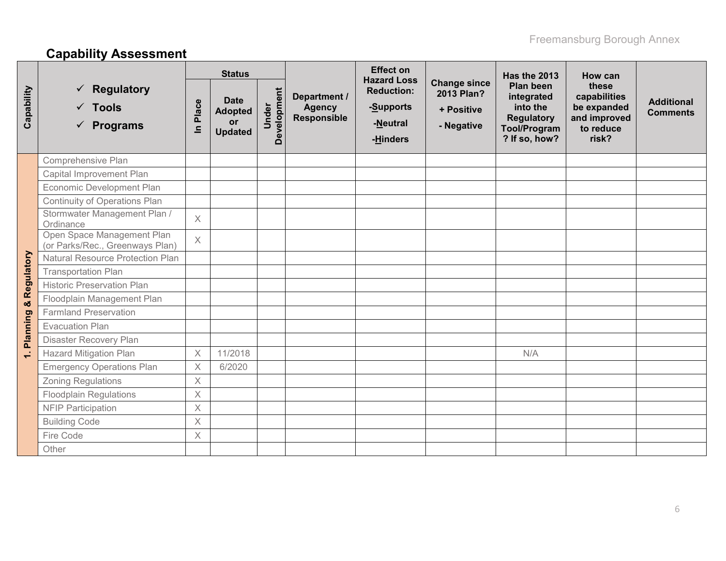# **Capability Assessment**

|              |                                                                  | <b>Status</b> |                                                              |                      |                                                     | <b>Effect on</b><br><b>Hazard Loss</b>                 |                                                               | Has the 2013                                                                                     | How can                                                                    |                                      |
|--------------|------------------------------------------------------------------|---------------|--------------------------------------------------------------|----------------------|-----------------------------------------------------|--------------------------------------------------------|---------------------------------------------------------------|--------------------------------------------------------------------------------------------------|----------------------------------------------------------------------------|--------------------------------------|
| Capability   | <b>Regulatory</b><br>$\checkmark$ Tools<br>$\checkmark$ Programs | Place<br>르    | <b>Date</b><br><b>Adopted</b><br><b>or</b><br><b>Updated</b> | Development<br>Under | Department /<br><b>Agency</b><br><b>Responsible</b> | <b>Reduction:</b><br>-Supports<br>-Neutral<br>-Hinders | <b>Change since</b><br>2013 Plan?<br>+ Positive<br>- Negative | Plan been<br>integrated<br>into the<br><b>Regulatory</b><br><b>Tool/Program</b><br>? If so, how? | these<br>capabilities<br>be expanded<br>and improved<br>to reduce<br>risk? | <b>Additional</b><br><b>Comments</b> |
|              | Comprehensive Plan                                               |               |                                                              |                      |                                                     |                                                        |                                                               |                                                                                                  |                                                                            |                                      |
|              | Capital Improvement Plan                                         |               |                                                              |                      |                                                     |                                                        |                                                               |                                                                                                  |                                                                            |                                      |
|              | Economic Development Plan                                        |               |                                                              |                      |                                                     |                                                        |                                                               |                                                                                                  |                                                                            |                                      |
|              | Continuity of Operations Plan                                    |               |                                                              |                      |                                                     |                                                        |                                                               |                                                                                                  |                                                                            |                                      |
|              | Stormwater Management Plan /<br>Ordinance                        | $\times$      |                                                              |                      |                                                     |                                                        |                                                               |                                                                                                  |                                                                            |                                      |
|              | Open Space Management Plan<br>(or Parks/Rec., Greenways Plan)    | $\times$      |                                                              |                      |                                                     |                                                        |                                                               |                                                                                                  |                                                                            |                                      |
|              | <b>Natural Resource Protection Plan</b>                          |               |                                                              |                      |                                                     |                                                        |                                                               |                                                                                                  |                                                                            |                                      |
|              | <b>Transportation Plan</b>                                       |               |                                                              |                      |                                                     |                                                        |                                                               |                                                                                                  |                                                                            |                                      |
| & Regulatory | <b>Historic Preservation Plan</b>                                |               |                                                              |                      |                                                     |                                                        |                                                               |                                                                                                  |                                                                            |                                      |
|              | Floodplain Management Plan                                       |               |                                                              |                      |                                                     |                                                        |                                                               |                                                                                                  |                                                                            |                                      |
|              | <b>Farmland Preservation</b>                                     |               |                                                              |                      |                                                     |                                                        |                                                               |                                                                                                  |                                                                            |                                      |
|              | <b>Evacuation Plan</b>                                           |               |                                                              |                      |                                                     |                                                        |                                                               |                                                                                                  |                                                                            |                                      |
| Planning     | Disaster Recovery Plan                                           |               |                                                              |                      |                                                     |                                                        |                                                               |                                                                                                  |                                                                            |                                      |
| $\div$       | <b>Hazard Mitigation Plan</b>                                    | $\times$      | 11/2018                                                      |                      |                                                     |                                                        |                                                               | N/A                                                                                              |                                                                            |                                      |
|              | <b>Emergency Operations Plan</b>                                 | $\times$      | 6/2020                                                       |                      |                                                     |                                                        |                                                               |                                                                                                  |                                                                            |                                      |
|              | <b>Zoning Regulations</b>                                        | $\times$      |                                                              |                      |                                                     |                                                        |                                                               |                                                                                                  |                                                                            |                                      |
|              | <b>Floodplain Regulations</b>                                    | $\times$      |                                                              |                      |                                                     |                                                        |                                                               |                                                                                                  |                                                                            |                                      |
|              | <b>NFIP Participation</b>                                        | $\times$      |                                                              |                      |                                                     |                                                        |                                                               |                                                                                                  |                                                                            |                                      |
|              | <b>Building Code</b>                                             | $\times$      |                                                              |                      |                                                     |                                                        |                                                               |                                                                                                  |                                                                            |                                      |
|              | Fire Code                                                        | $\times$      |                                                              |                      |                                                     |                                                        |                                                               |                                                                                                  |                                                                            |                                      |
|              | Other                                                            |               |                                                              |                      |                                                     |                                                        |                                                               |                                                                                                  |                                                                            |                                      |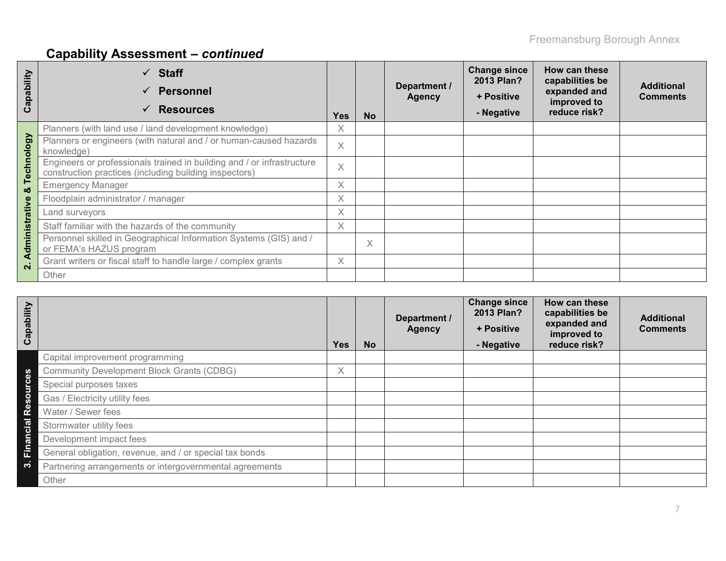# **Capability Assessment –** *continued*

| apability<br>ပ          | $\checkmark$ Staff<br><b>Personnel</b><br>$\checkmark$<br><b>Resources</b><br>$\checkmark$                                       | <b>Yes</b> | <b>No</b> | Department /<br><b>Agency</b> | <b>Change since</b><br>2013 Plan?<br>+ Positive<br>- Negative | How can these<br>capabilities be<br>expanded and<br>improved to<br>reduce risk? | <b>Additional</b><br><b>Comments</b> |
|-------------------------|----------------------------------------------------------------------------------------------------------------------------------|------------|-----------|-------------------------------|---------------------------------------------------------------|---------------------------------------------------------------------------------|--------------------------------------|
|                         | Planners (with land use / land development knowledge)                                                                            | X          |           |                               |                                                               |                                                                                 |                                      |
|                         | Planners or engineers (with natural and / or human-caused hazards<br>knowledge)                                                  | $\times$   |           |                               |                                                               |                                                                                 |                                      |
| Technology              | Engineers or professionals trained in building and / or infrastructure<br>construction practices (including building inspectors) | $\times$   |           |                               |                                                               |                                                                                 |                                      |
| ఱ                       | <b>Emergency Manager</b>                                                                                                         | Χ          |           |                               |                                                               |                                                                                 |                                      |
|                         | Floodplain administrator / manager                                                                                               | X          |           |                               |                                                               |                                                                                 |                                      |
|                         | Land surveyors                                                                                                                   |            |           |                               |                                                               |                                                                                 |                                      |
|                         | Staff familiar with the hazards of the community                                                                                 |            |           |                               |                                                               |                                                                                 |                                      |
| Administrative          | Personnel skilled in Geographical Information Systems (GIS) and /<br>or FEMA's HAZUS program                                     |            | X         |                               |                                                               |                                                                                 |                                      |
| $\overline{\mathbf{N}}$ | Grant writers or fiscal staff to handle large / complex grants                                                                   | $\times$   |           |                               |                                                               |                                                                                 |                                      |
|                         | Other                                                                                                                            |            |           |                               |                                                               |                                                                                 |                                      |

| Capability |                                                         | <b>Yes</b> | <b>No</b> | Department /<br><b>Agency</b> | <b>Change since</b><br>2013 Plan?<br>+ Positive<br>- Negative | How can these<br>capabilities be<br>expanded and<br>improved to<br>reduce risk? | <b>Additional</b><br><b>Comments</b> |
|------------|---------------------------------------------------------|------------|-----------|-------------------------------|---------------------------------------------------------------|---------------------------------------------------------------------------------|--------------------------------------|
|            | Capital improvement programming                         |            |           |                               |                                                               |                                                                                 |                                      |
| 89         | <b>Community Development Block Grants (CDBG)</b>        | $\times$   |           |                               |                                                               |                                                                                 |                                      |
|            | Special purposes taxes                                  |            |           |                               |                                                               |                                                                                 |                                      |
| esourc     | Gas / Electricity utility fees                          |            |           |                               |                                                               |                                                                                 |                                      |
| œ          | Water / Sewer fees                                      |            |           |                               |                                                               |                                                                                 |                                      |
| Financial  | Stormwater utility fees                                 |            |           |                               |                                                               |                                                                                 |                                      |
|            | Development impact fees                                 |            |           |                               |                                                               |                                                                                 |                                      |
|            | General obligation, revenue, and / or special tax bonds |            |           |                               |                                                               |                                                                                 |                                      |
| ო          | Partnering arrangements or intergovernmental agreements |            |           |                               |                                                               |                                                                                 |                                      |
|            | Other                                                   |            |           |                               |                                                               |                                                                                 |                                      |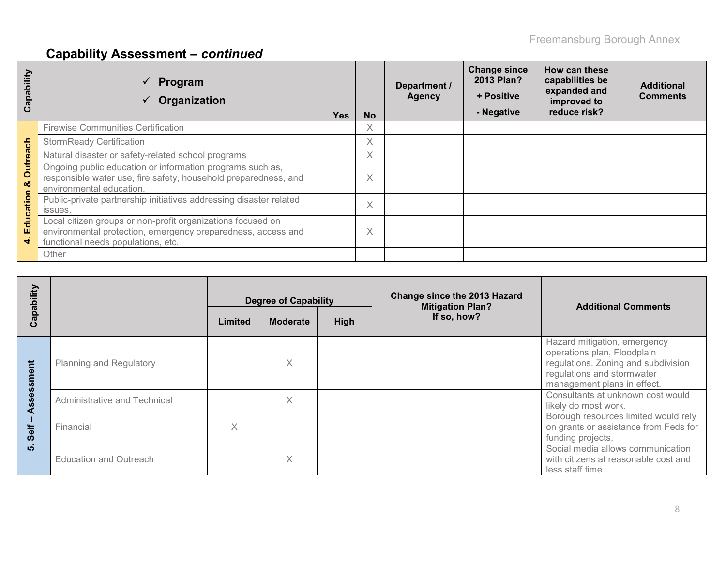# **Capability Assessment –** *continued*

| Capability           | Program<br>Organization                                                                                                                                           | <b>Yes</b> | <b>No</b> | Department /<br><b>Agency</b> | <b>Change since</b><br>2013 Plan?<br>+ Positive<br>- Negative | How can these<br>capabilities be<br>expanded and<br>improved to<br>reduce risk? | <b>Additional</b><br><b>Comments</b> |
|----------------------|-------------------------------------------------------------------------------------------------------------------------------------------------------------------|------------|-----------|-------------------------------|---------------------------------------------------------------|---------------------------------------------------------------------------------|--------------------------------------|
|                      | <b>Firewise Communities Certification</b>                                                                                                                         |            | X         |                               |                                                               |                                                                                 |                                      |
|                      | <b>StormReady Certification</b>                                                                                                                                   |            | X         |                               |                                                               |                                                                                 |                                      |
|                      | Natural disaster or safety-related school programs                                                                                                                |            | X         |                               |                                                               |                                                                                 |                                      |
| <b>Outreach</b><br>ೲ | Ongoing public education or information programs such as,<br>responsible water use, fire safety, household preparedness, and<br>environmental education.          |            | Χ         |                               |                                                               |                                                                                 |                                      |
| ducation             | Public-private partnership initiatives addressing disaster related<br>issues.                                                                                     |            | X         |                               |                                                               |                                                                                 |                                      |
| ш                    | Local citizen groups or non-profit organizations focused on<br>environmental protection, emergency preparedness, access and<br>functional needs populations, etc. |            | Χ         |                               |                                                               |                                                                                 |                                      |
|                      | Other                                                                                                                                                             |            |           |                               |                                                               |                                                                                 |                                      |

| apability   |                                | <b>Degree of Capability</b> |         |                 | Change since the 2013 Hazard<br><b>Mitigation Plan?</b> | <b>Additional Comments</b>                                                                                                                                      |  |
|-------------|--------------------------------|-----------------------------|---------|-----------------|---------------------------------------------------------|-----------------------------------------------------------------------------------------------------------------------------------------------------------------|--|
| $\mathbf c$ |                                |                             | Limited | <b>Moderate</b> | High                                                    | If so, how?                                                                                                                                                     |  |
| E           | <b>Planning and Regulatory</b> |                             | X       |                 |                                                         | Hazard mitigation, emergency<br>operations plan, Floodplain<br>regulations. Zoning and subdivision<br>regulations and stormwater<br>management plans in effect. |  |
|             | Administrative and Technical   |                             | X       |                 |                                                         | Consultants at unknown cost would<br>likely do most work.                                                                                                       |  |
| Self        | Financial                      | X                           |         |                 |                                                         | Borough resources limited would rely<br>on grants or assistance from Feds for<br>funding projects.                                                              |  |
| ທ່          | <b>Education and Outreach</b>  |                             | X       |                 |                                                         | Social media allows communication<br>with citizens at reasonable cost and<br>less staff time.                                                                   |  |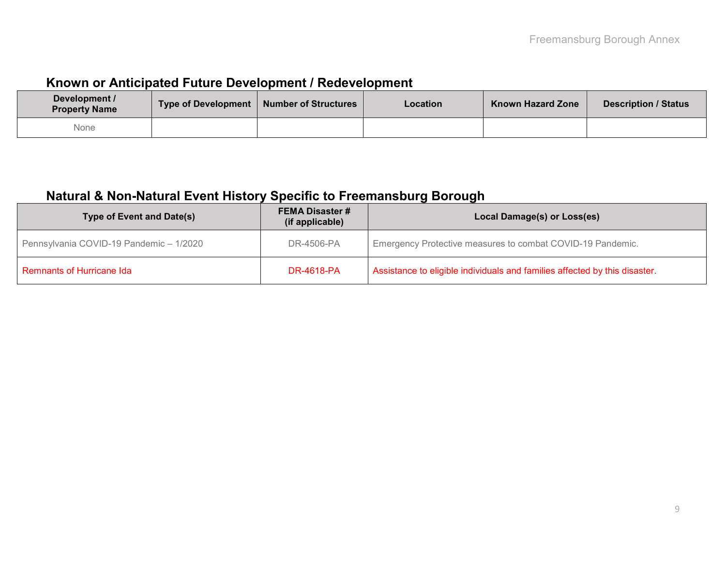### **Known or Anticipated Future Development / Redevelopment**

| Development /<br><b>Property Name</b> | Type of Development | <b>Number of Structures</b> | <b>Location</b> | <b>Known Hazard Zone</b> | <b>Description / Status</b> |
|---------------------------------------|---------------------|-----------------------------|-----------------|--------------------------|-----------------------------|
| None                                  |                     |                             |                 |                          |                             |

### **Natural & Non-Natural Event History Specific to Freemansburg Borough**

| Type of Event and Date(s)                             | <b>FEMA Disaster #</b><br>(if applicable) | Local Damage(s) or Loss(es)                                                |  |  |  |  |  |
|-------------------------------------------------------|-------------------------------------------|----------------------------------------------------------------------------|--|--|--|--|--|
| DR-4506-PA<br>Pennsylvania COVID-19 Pandemic - 1/2020 |                                           | Emergency Protective measures to combat COVID-19 Pandemic.                 |  |  |  |  |  |
| Remnants of Hurricane Ida                             | <b>DR-4618-PA</b>                         | Assistance to eligible individuals and families affected by this disaster. |  |  |  |  |  |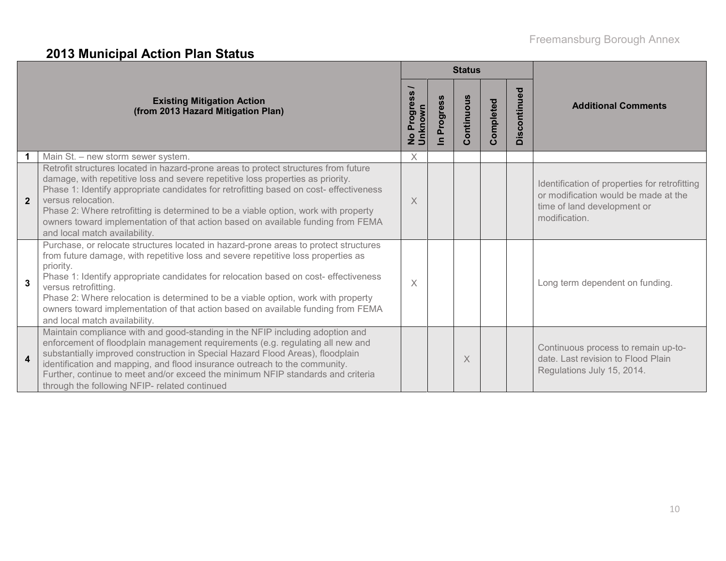# **2013 Municipal Action Plan Status**

|                |                                                                                                                                                                                                                                                                                                                                                                                                                                                                                                                  |                                      |                          | <b>Status</b> |           |              |                                                                                                                                       |
|----------------|------------------------------------------------------------------------------------------------------------------------------------------------------------------------------------------------------------------------------------------------------------------------------------------------------------------------------------------------------------------------------------------------------------------------------------------------------------------------------------------------------------------|--------------------------------------|--------------------------|---------------|-----------|--------------|---------------------------------------------------------------------------------------------------------------------------------------|
|                | <b>Existing Mitigation Action</b><br>(from 2013 Hazard Mitigation Plan)                                                                                                                                                                                                                                                                                                                                                                                                                                          | ress<br>No Progre<br>Unknown<br>Prog | Progress<br>$\mathbf{C}$ | Continuous    | Completed | Discontinued | <b>Additional Comments</b>                                                                                                            |
|                | Main St. - new storm sewer system.                                                                                                                                                                                                                                                                                                                                                                                                                                                                               | $\times$                             |                          |               |           |              |                                                                                                                                       |
| $\overline{2}$ | Retrofit structures located in hazard-prone areas to protect structures from future<br>damage, with repetitive loss and severe repetitive loss properties as priority.<br>Phase 1: Identify appropriate candidates for retrofitting based on cost-effectiveness<br>versus relocation.<br>Phase 2: Where retrofitting is determined to be a viable option, work with property<br>owners toward implementation of that action based on available funding from FEMA<br>and local match availability.                | X                                    |                          |               |           |              | Identification of properties for retrofitting<br>or modification would be made at the<br>time of land development or<br>modification. |
| 3              | Purchase, or relocate structures located in hazard-prone areas to protect structures<br>from future damage, with repetitive loss and severe repetitive loss properties as<br>priority.<br>Phase 1: Identify appropriate candidates for relocation based on cost- effectiveness<br>versus retrofitting.<br>Phase 2: Where relocation is determined to be a viable option, work with property<br>owners toward implementation of that action based on available funding from FEMA<br>and local match availability. | X                                    |                          |               |           |              | Long term dependent on funding.                                                                                                       |
| 4              | Maintain compliance with and good-standing in the NFIP including adoption and<br>enforcement of floodplain management requirements (e.g. regulating all new and<br>substantially improved construction in Special Hazard Flood Areas), floodplain<br>identification and mapping, and flood insurance outreach to the community.<br>Further, continue to meet and/or exceed the minimum NFIP standards and criteria<br>through the following NFIP- related continued                                              |                                      |                          | X             |           |              | Continuous process to remain up-to-<br>date. Last revision to Flood Plain<br>Regulations July 15, 2014.                               |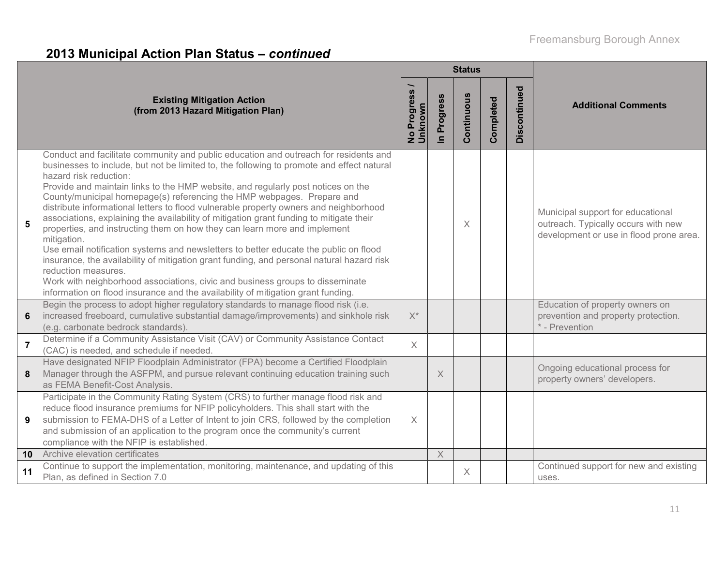# **2013 Municipal Action Plan Status –** *continued*

|                |                                                                                                                                                                                                                                                                                                                                                                                                                                                                                                                                                                                                                                                                                                                                                                                                                                                                                                                                                                                                                                            |                                         |                    | <b>Status</b> |           |              |                                                                                                                     |
|----------------|--------------------------------------------------------------------------------------------------------------------------------------------------------------------------------------------------------------------------------------------------------------------------------------------------------------------------------------------------------------------------------------------------------------------------------------------------------------------------------------------------------------------------------------------------------------------------------------------------------------------------------------------------------------------------------------------------------------------------------------------------------------------------------------------------------------------------------------------------------------------------------------------------------------------------------------------------------------------------------------------------------------------------------------------|-----------------------------------------|--------------------|---------------|-----------|--------------|---------------------------------------------------------------------------------------------------------------------|
|                | <b>Existing Mitigation Action</b><br>(from 2013 Hazard Mitigation Plan)                                                                                                                                                                                                                                                                                                                                                                                                                                                                                                                                                                                                                                                                                                                                                                                                                                                                                                                                                                    | <b>Progress</b><br>No Progre<br>Unknown | In Progress        | Continuous    | Completed | Discontinued | <b>Additional Comments</b>                                                                                          |
| $5\phantom{1}$ | Conduct and facilitate community and public education and outreach for residents and<br>businesses to include, but not be limited to, the following to promote and effect natural<br>hazard risk reduction:<br>Provide and maintain links to the HMP website, and regularly post notices on the<br>County/municipal homepage(s) referencing the HMP webpages. Prepare and<br>distribute informational letters to flood vulnerable property owners and neighborhood<br>associations, explaining the availability of mitigation grant funding to mitigate their<br>properties, and instructing them on how they can learn more and implement<br>mitigation.<br>Use email notification systems and newsletters to better educate the public on flood<br>insurance, the availability of mitigation grant funding, and personal natural hazard risk<br>reduction measures.<br>Work with neighborhood associations, civic and business groups to disseminate<br>information on flood insurance and the availability of mitigation grant funding. |                                         |                    | X             |           |              | Municipal support for educational<br>outreach. Typically occurs with new<br>development or use in flood prone area. |
| 6              | Begin the process to adopt higher regulatory standards to manage flood risk (i.e.<br>increased freeboard, cumulative substantial damage/improvements) and sinkhole risk<br>(e.g. carbonate bedrock standards).                                                                                                                                                                                                                                                                                                                                                                                                                                                                                                                                                                                                                                                                                                                                                                                                                             | $X^*$                                   |                    |               |           |              | Education of property owners on<br>prevention and property protection.<br>* - Prevention                            |
| $\overline{7}$ | Determine if a Community Assistance Visit (CAV) or Community Assistance Contact<br>(CAC) is needed, and schedule if needed.                                                                                                                                                                                                                                                                                                                                                                                                                                                                                                                                                                                                                                                                                                                                                                                                                                                                                                                | $\times$                                |                    |               |           |              |                                                                                                                     |
| 8              | Have designated NFIP Floodplain Administrator (FPA) become a Certified Floodplain<br>Manager through the ASFPM, and pursue relevant continuing education training such<br>as FEMA Benefit-Cost Analysis.                                                                                                                                                                                                                                                                                                                                                                                                                                                                                                                                                                                                                                                                                                                                                                                                                                   |                                         | X                  |               |           |              | Ongoing educational process for<br>property owners' developers.                                                     |
| 9              | Participate in the Community Rating System (CRS) to further manage flood risk and<br>reduce flood insurance premiums for NFIP policyholders. This shall start with the<br>submission to FEMA-DHS of a Letter of Intent to join CRS, followed by the completion<br>and submission of an application to the program once the community's current<br>compliance with the NFIP is established.                                                                                                                                                                                                                                                                                                                                                                                                                                                                                                                                                                                                                                                 | $\times$                                |                    |               |           |              |                                                                                                                     |
| 10             | Archive elevation certificates                                                                                                                                                                                                                                                                                                                                                                                                                                                                                                                                                                                                                                                                                                                                                                                                                                                                                                                                                                                                             |                                         | $\mathsf{X}% _{0}$ |               |           |              |                                                                                                                     |
| 11             | Continue to support the implementation, monitoring, maintenance, and updating of this<br>Plan, as defined in Section 7.0                                                                                                                                                                                                                                                                                                                                                                                                                                                                                                                                                                                                                                                                                                                                                                                                                                                                                                                   |                                         |                    | X             |           |              | Continued support for new and existing<br>uses.                                                                     |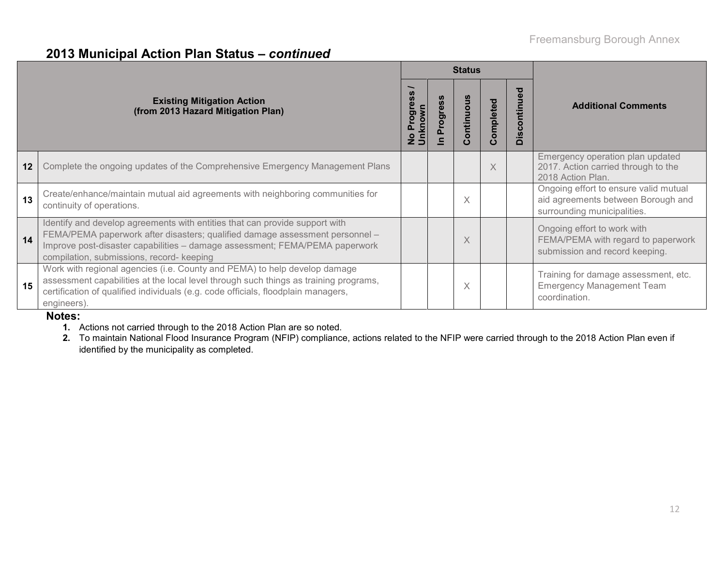### **2013 Municipal Action Plan Status –** *continued*

|    |                                                                                                                                                                                                                                                                                         | <b>Status</b>                     |          |           |           |                             |                                                                                                            |  |
|----|-----------------------------------------------------------------------------------------------------------------------------------------------------------------------------------------------------------------------------------------------------------------------------------------|-----------------------------------|----------|-----------|-----------|-----------------------------|------------------------------------------------------------------------------------------------------------|--|
|    | <b>Existing Mitigation Action</b><br>(from 2013 Hazard Mitigation Plan)                                                                                                                                                                                                                 | <u>Unknown</u><br>Prog<br>$\circ$ | Progress | ontinuous | Completed | ntinued<br>isco<br>$\Omega$ | <b>Additional Comments</b>                                                                                 |  |
| 12 | Complete the ongoing updates of the Comprehensive Emergency Management Plans                                                                                                                                                                                                            |                                   |          |           | X         |                             | Emergency operation plan updated<br>2017. Action carried through to the<br>2018 Action Plan.               |  |
| 13 | Create/enhance/maintain mutual aid agreements with neighboring communities for<br>continuity of operations.                                                                                                                                                                             |                                   |          | X         |           |                             | Ongoing effort to ensure valid mutual<br>aid agreements between Borough and<br>surrounding municipalities. |  |
| 14 | Identify and develop agreements with entities that can provide support with<br>FEMA/PEMA paperwork after disasters; qualified damage assessment personnel -<br>Improve post-disaster capabilities - damage assessment; FEMA/PEMA paperwork<br>compilation, submissions, record- keeping |                                   |          | X         |           |                             | Ongoing effort to work with<br>FEMA/PEMA with regard to paperwork<br>submission and record keeping.        |  |
| 15 | Work with regional agencies (i.e. County and PEMA) to help develop damage<br>assessment capabilities at the local level through such things as training programs,<br>certification of qualified individuals (e.g. code officials, floodplain managers,<br>engineers).                   |                                   |          | X         |           |                             | Training for damage assessment, etc.<br><b>Emergency Management Team</b><br>coordination.                  |  |

#### **Notes:**

**1.** Actions not carried through to the 2018 Action Plan are so noted.

**2.** To maintain National Flood Insurance Program (NFIP) compliance, actions related to the NFIP were carried through to the 2018 Action Plan even if identified by the municipality as completed.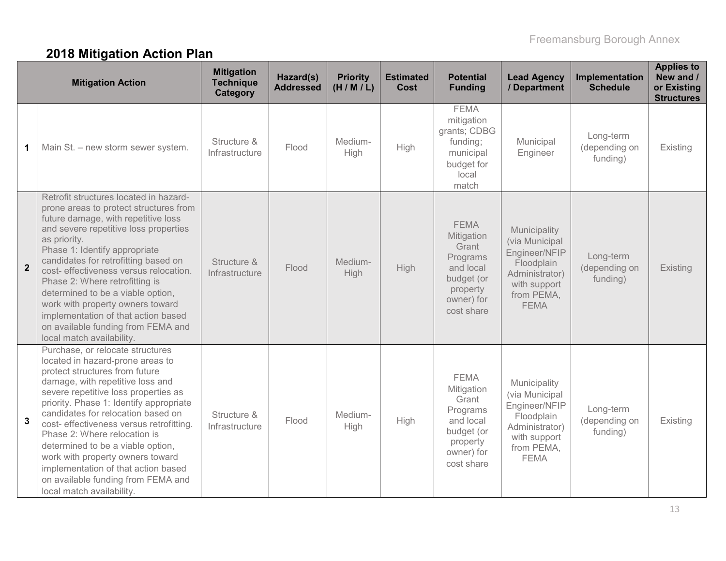# **2018 Mitigation Action Plan**

|                | <b>Mitigation Action</b>                                                                                                                                                                                                                                                                                                                                                                                                                                                                                                           | <b>Mitigation</b><br><b>Technique</b><br>Category | Hazard(s)<br><b>Addressed</b> | <b>Priority</b><br>(H/M/L) | <b>Estimated</b><br><b>Cost</b> | <b>Potential</b><br><b>Funding</b>                                                                                | <b>Lead Agency</b><br>/ Department                                                                                           | Implementation<br><b>Schedule</b>      | <b>Applies to</b><br>New and /<br>or Existing<br><b>Structures</b> |
|----------------|------------------------------------------------------------------------------------------------------------------------------------------------------------------------------------------------------------------------------------------------------------------------------------------------------------------------------------------------------------------------------------------------------------------------------------------------------------------------------------------------------------------------------------|---------------------------------------------------|-------------------------------|----------------------------|---------------------------------|-------------------------------------------------------------------------------------------------------------------|------------------------------------------------------------------------------------------------------------------------------|----------------------------------------|--------------------------------------------------------------------|
| 1              | Main St. - new storm sewer system.                                                                                                                                                                                                                                                                                                                                                                                                                                                                                                 | Structure &<br>Infrastructure                     | Flood                         | Medium-<br>High            | High                            | <b>FEMA</b><br>mitigation<br>grants; CDBG<br>funding;<br>municipal<br>budget for<br>local<br>match                | Municipal<br>Engineer                                                                                                        | Long-term<br>(depending on<br>funding) | Existing                                                           |
| $\overline{2}$ | Retrofit structures located in hazard-<br>prone areas to protect structures from<br>future damage, with repetitive loss<br>and severe repetitive loss properties<br>as priority.<br>Phase 1: Identify appropriate<br>candidates for retrofitting based on<br>cost- effectiveness versus relocation.<br>Phase 2: Where retrofitting is<br>determined to be a viable option,<br>work with property owners toward<br>implementation of that action based<br>on available funding from FEMA and<br>local match availability.           | Structure &<br>Infrastructure                     | Flood                         | Medium-<br>High            | High                            | <b>FEMA</b><br>Mitigation<br>Grant<br>Programs<br>and local<br>budget (or<br>property<br>owner) for<br>cost share | Municipality<br>(via Municipal<br>Engineer/NFIP<br>Floodplain<br>Administrator)<br>with support<br>from PEMA,<br><b>FEMA</b> | Long-term<br>(depending on<br>funding) | Existing                                                           |
| $\mathbf{3}$   | Purchase, or relocate structures<br>located in hazard-prone areas to<br>protect structures from future<br>damage, with repetitive loss and<br>severe repetitive loss properties as<br>priority. Phase 1: Identify appropriate<br>candidates for relocation based on<br>cost- effectiveness versus retrofitting.<br>Phase 2: Where relocation is<br>determined to be a viable option,<br>work with property owners toward<br>implementation of that action based<br>on available funding from FEMA and<br>local match availability. | Structure &<br>Infrastructure                     | Flood                         | Medium-<br>High            | High                            | <b>FEMA</b><br>Mitigation<br>Grant<br>Programs<br>and local<br>budget (or<br>property<br>owner) for<br>cost share | Municipality<br>(via Municipal<br>Engineer/NFIP<br>Floodplain<br>Administrator)<br>with support<br>from PEMA,<br><b>FEMA</b> | Long-term<br>(depending on<br>funding) | Existing                                                           |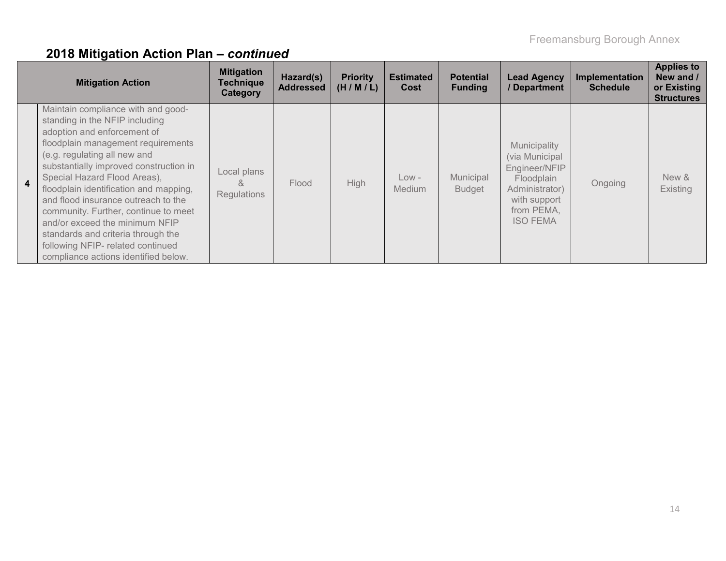|                | <b>Mitigation Action</b>                                                                                                                                                                                                                                                                                                                                                                                                                                                                                                          | <b>Mitigation</b><br><b>Technique</b><br>Category | Hazard(s)<br><b>Addressed</b> | <b>Priority</b><br>(H/M/L) | <b>Estimated</b><br>Cost | <b>Potential</b><br><b>Funding</b> | <b>Lead Agency</b><br>/ Department                                                                                               | Implementation<br><b>Schedule</b> | <b>Applies to</b><br>New and /<br>or Existing<br><b>Structures</b> |
|----------------|-----------------------------------------------------------------------------------------------------------------------------------------------------------------------------------------------------------------------------------------------------------------------------------------------------------------------------------------------------------------------------------------------------------------------------------------------------------------------------------------------------------------------------------|---------------------------------------------------|-------------------------------|----------------------------|--------------------------|------------------------------------|----------------------------------------------------------------------------------------------------------------------------------|-----------------------------------|--------------------------------------------------------------------|
| $\overline{4}$ | Maintain compliance with and good-<br>standing in the NFIP including<br>adoption and enforcement of<br>floodplain management requirements<br>(e.g. regulating all new and<br>substantially improved construction in<br>Special Hazard Flood Areas),<br>floodplain identification and mapping,<br>and flood insurance outreach to the<br>community. Further, continue to meet<br>and/or exceed the minimum NFIP<br>standards and criteria through the<br>following NFIP- related continued<br>compliance actions identified below. | Local plans<br>&<br><b>Regulations</b>            | Flood                         | <b>High</b>                | Low -<br><b>Medium</b>   | Municipal<br><b>Budget</b>         | Municipality<br>(via Municipal<br>Engineer/NFIP<br>Floodplain<br>Administrator)<br>with support<br>from PEMA,<br><b>ISO FEMA</b> | Ongoing                           | New &<br>Existing                                                  |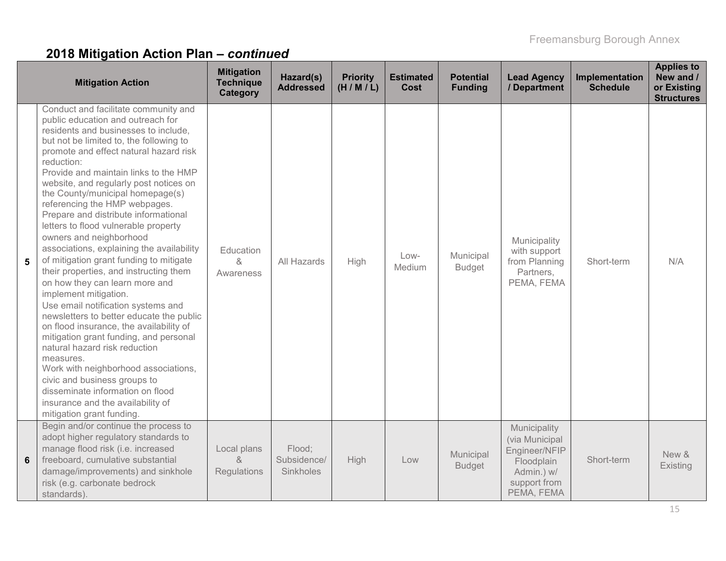|   | <b>Mitigation Action</b>                                                                                                                                                                                                                                                                                                                                                                                                                                                                                                                                                                                                                                                                                                                                                                                                                                                                                                                                                                                                                                                                | <b>Mitigation</b><br><b>Technique</b><br>Category | Hazard(s)<br><b>Addressed</b>      | <b>Priority</b><br>(H/M/L) | <b>Estimated</b><br><b>Cost</b> | <b>Potential</b><br><b>Funding</b> | <b>Lead Agency</b><br>/ Department                                                                        | Implementation<br><b>Schedule</b> | <b>Applies to</b><br>New and /<br>or Existing<br><b>Structures</b> |
|---|-----------------------------------------------------------------------------------------------------------------------------------------------------------------------------------------------------------------------------------------------------------------------------------------------------------------------------------------------------------------------------------------------------------------------------------------------------------------------------------------------------------------------------------------------------------------------------------------------------------------------------------------------------------------------------------------------------------------------------------------------------------------------------------------------------------------------------------------------------------------------------------------------------------------------------------------------------------------------------------------------------------------------------------------------------------------------------------------|---------------------------------------------------|------------------------------------|----------------------------|---------------------------------|------------------------------------|-----------------------------------------------------------------------------------------------------------|-----------------------------------|--------------------------------------------------------------------|
| 5 | Conduct and facilitate community and<br>public education and outreach for<br>residents and businesses to include,<br>but not be limited to, the following to<br>promote and effect natural hazard risk<br>reduction:<br>Provide and maintain links to the HMP<br>website, and regularly post notices on<br>the County/municipal homepage(s)<br>referencing the HMP webpages.<br>Prepare and distribute informational<br>letters to flood vulnerable property<br>owners and neighborhood<br>associations, explaining the availability<br>of mitigation grant funding to mitigate<br>their properties, and instructing them<br>on how they can learn more and<br>implement mitigation.<br>Use email notification systems and<br>newsletters to better educate the public<br>on flood insurance, the availability of<br>mitigation grant funding, and personal<br>natural hazard risk reduction<br>measures.<br>Work with neighborhood associations,<br>civic and business groups to<br>disseminate information on flood<br>insurance and the availability of<br>mitigation grant funding. | Education<br>&<br>Awareness                       | All Hazards                        | High                       | Low-<br>Medium                  | Municipal<br><b>Budget</b>         | Municipality<br>with support<br>from Planning<br>Partners,<br>PEMA, FEMA                                  | Short-term                        | N/A                                                                |
| 6 | Begin and/or continue the process to<br>adopt higher regulatory standards to<br>manage flood risk (i.e. increased<br>freeboard, cumulative substantial<br>damage/improvements) and sinkhole<br>risk (e.g. carbonate bedrock<br>standards).                                                                                                                                                                                                                                                                                                                                                                                                                                                                                                                                                                                                                                                                                                                                                                                                                                              | Local plans<br>8<br>Regulations                   | Flood;<br>Subsidence/<br>Sinkholes | High                       | Low                             | Municipal<br><b>Budget</b>         | Municipality<br>(via Municipal<br>Engineer/NFIP<br>Floodplain<br>Admin.) w/<br>support from<br>PEMA, FEMA | Short-term                        | New &<br>Existing                                                  |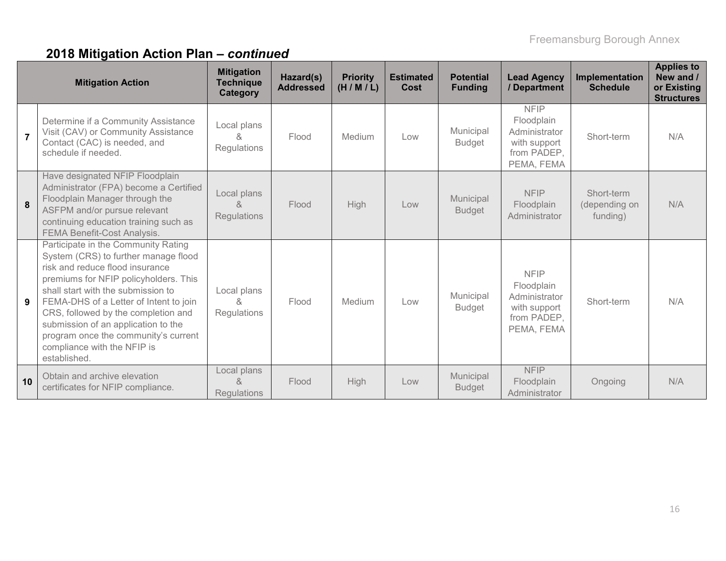|                | <b>Mitigation Action</b>                                                                                                                                                                                                                                                                                                                                                                                     | <b>Mitigation</b><br><b>Technique</b><br>Category | Hazard(s)<br><b>Addressed</b> | <b>Priority</b><br>(H/M/L) | <b>Estimated</b><br>Cost | <b>Potential</b><br><b>Funding</b> | <b>Lead Agency</b><br>/ Department                                                      | Implementation<br><b>Schedule</b>       | <b>Applies to</b><br>New and /<br>or Existing<br><b>Structures</b> |
|----------------|--------------------------------------------------------------------------------------------------------------------------------------------------------------------------------------------------------------------------------------------------------------------------------------------------------------------------------------------------------------------------------------------------------------|---------------------------------------------------|-------------------------------|----------------------------|--------------------------|------------------------------------|-----------------------------------------------------------------------------------------|-----------------------------------------|--------------------------------------------------------------------|
| $\overline{7}$ | Determine if a Community Assistance<br>Visit (CAV) or Community Assistance<br>Contact (CAC) is needed, and<br>schedule if needed.                                                                                                                                                                                                                                                                            | Local plans<br>$\kappa$<br><b>Regulations</b>     | Flood                         | Medium                     | Low                      | Municipal<br><b>Budget</b>         | <b>NFIP</b><br>Floodplain<br>Administrator<br>with support<br>from PADEP,<br>PEMA, FEMA | Short-term                              | N/A                                                                |
| 8              | Have designated NFIP Floodplain<br>Administrator (FPA) become a Certified<br>Floodplain Manager through the<br>ASFPM and/or pursue relevant<br>continuing education training such as<br>FEMA Benefit-Cost Analysis.                                                                                                                                                                                          | Local plans<br>&<br><b>Regulations</b>            | Flood                         | High                       | Low                      | Municipal<br><b>Budget</b>         | <b>NFIP</b><br>Floodplain<br>Administrator                                              | Short-term<br>(depending on<br>funding) | N/A                                                                |
| 9              | Participate in the Community Rating<br>System (CRS) to further manage flood<br>risk and reduce flood insurance<br>premiums for NFIP policyholders. This<br>shall start with the submission to<br>FEMA-DHS of a Letter of Intent to join<br>CRS, followed by the completion and<br>submission of an application to the<br>program once the community's current<br>compliance with the NFIP is<br>established. | Local plans<br>8<br>Regulations                   | Flood                         | Medium                     | Low                      | Municipal<br><b>Budget</b>         | <b>NFIP</b><br>Floodplain<br>Administrator<br>with support<br>from PADEP,<br>PEMA, FEMA | Short-term                              | N/A                                                                |
| 10             | Obtain and archive elevation<br>certificates for NFIP compliance.                                                                                                                                                                                                                                                                                                                                            | Local plans<br>ୡ<br><b>Regulations</b>            | Flood                         | High                       | Low                      | Municipal<br><b>Budget</b>         | <b>NFIP</b><br>Floodplain<br>Administrator                                              | Ongoing                                 | N/A                                                                |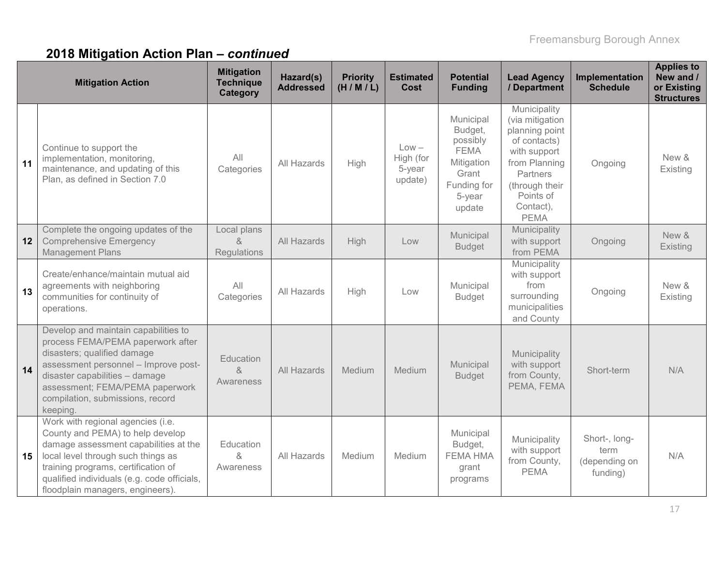|    | <b>Mitigation Action</b>                                                                                                                                                                                                                                                       | <b>Mitigation</b><br><b>Technique</b><br>Category | Hazard(s)<br><b>Addressed</b> | <b>Priority</b><br>(H/M/L) | <b>Estimated</b><br>Cost                  | <b>Potential</b><br><b>Funding</b>                                                                        | <b>Lead Agency</b><br>/ Department                                                                                                                                        | Implementation<br><b>Schedule</b>                  | <b>Applies to</b><br>New and /<br>or Existing<br><b>Structures</b> |
|----|--------------------------------------------------------------------------------------------------------------------------------------------------------------------------------------------------------------------------------------------------------------------------------|---------------------------------------------------|-------------------------------|----------------------------|-------------------------------------------|-----------------------------------------------------------------------------------------------------------|---------------------------------------------------------------------------------------------------------------------------------------------------------------------------|----------------------------------------------------|--------------------------------------------------------------------|
| 11 | Continue to support the<br>implementation, monitoring,<br>maintenance, and updating of this<br>Plan, as defined in Section 7.0                                                                                                                                                 | All<br>Categories                                 | All Hazards                   | High                       | $Low -$<br>High (for<br>5-year<br>update) | Municipal<br>Budget,<br>possibly<br><b>FEMA</b><br>Mitigation<br>Grant<br>Funding for<br>5-year<br>update | Municipality<br>(via mitigation<br>planning point<br>of contacts)<br>with support<br>from Planning<br>Partners<br>(through their<br>Points of<br>Contact),<br><b>PEMA</b> | Ongoing                                            | New &<br>Existing                                                  |
| 12 | Complete the ongoing updates of the<br><b>Comprehensive Emergency</b><br><b>Management Plans</b>                                                                                                                                                                               | Local plans<br>$\alpha$<br><b>Regulations</b>     | All Hazards                   | <b>High</b>                | Low                                       | Municipal<br><b>Budget</b>                                                                                | Municipality<br>with support<br>from PEMA                                                                                                                                 | Ongoing                                            | New &<br><b>Existing</b>                                           |
| 13 | Create/enhance/maintain mutual aid<br>agreements with neighboring<br>communities for continuity of<br>operations.                                                                                                                                                              | All<br>Categories                                 | All Hazards                   | High                       | Low                                       | Municipal<br><b>Budget</b>                                                                                | Municipality<br>with support<br>from<br>surrounding<br>municipalities<br>and County                                                                                       | Ongoing                                            | New &<br>Existing                                                  |
| 14 | Develop and maintain capabilities to<br>process FEMA/PEMA paperwork after<br>disasters; qualified damage<br>assessment personnel - Improve post-<br>disaster capabilities - damage<br>assessment; FEMA/PEMA paperwork<br>compilation, submissions, record<br>keeping.          | Education<br>&<br>Awareness                       | <b>All Hazards</b>            | Medium                     | Medium                                    | Municipal<br><b>Budget</b>                                                                                | Municipality<br>with support<br>from County,<br>PEMA, FEMA                                                                                                                | Short-term                                         | N/A                                                                |
| 15 | Work with regional agencies (i.e.<br>County and PEMA) to help develop<br>damage assessment capabilities at the<br>local level through such things as<br>training programs, certification of<br>qualified individuals (e.g. code officials,<br>floodplain managers, engineers). | Education<br>&<br>Awareness                       | All Hazards                   | Medium                     | Medium                                    | Municipal<br>Budget,<br><b>FEMA HMA</b><br>grant<br>programs                                              | Municipality<br>with support<br>from County,<br><b>PEMA</b>                                                                                                               | Short-, long-<br>term<br>(depending on<br>funding) | N/A                                                                |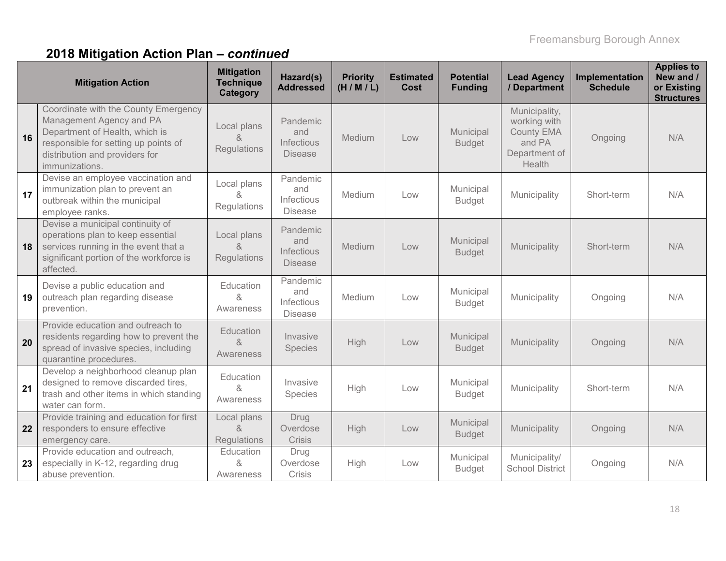|    | <b>Mitigation Action</b>                                                                                                                                                                       | <b>Mitigation</b><br><b>Technique</b><br>Category | Hazard(s)<br><b>Addressed</b>                   | <b>Priority</b><br>(H/M/L) | <b>Estimated</b><br>Cost | <b>Potential</b><br><b>Funding</b> | <b>Lead Agency</b><br>/ Department                                                      | Implementation<br><b>Schedule</b> | <b>Applies to</b><br>New and /<br>or Existing<br><b>Structures</b> |
|----|------------------------------------------------------------------------------------------------------------------------------------------------------------------------------------------------|---------------------------------------------------|-------------------------------------------------|----------------------------|--------------------------|------------------------------------|-----------------------------------------------------------------------------------------|-----------------------------------|--------------------------------------------------------------------|
| 16 | Coordinate with the County Emergency<br>Management Agency and PA<br>Department of Health, which is<br>responsible for setting up points of<br>distribution and providers for<br>immunizations. | Local plans<br>&<br><b>Regulations</b>            | Pandemic<br>and<br>Infectious<br><b>Disease</b> | Medium                     | Low                      | Municipal<br><b>Budget</b>         | Municipality,<br>working with<br><b>County EMA</b><br>and PA<br>Department of<br>Health | Ongoing                           | N/A                                                                |
| 17 | Devise an employee vaccination and<br>immunization plan to prevent an<br>outbreak within the municipal<br>employee ranks.                                                                      | Local plans<br>&<br>Regulations                   | Pandemic<br>and<br>Infectious<br><b>Disease</b> | Medium                     | Low                      | Municipal<br><b>Budget</b>         | Municipality                                                                            | Short-term                        | N/A                                                                |
| 18 | Devise a municipal continuity of<br>operations plan to keep essential<br>services running in the event that a<br>significant portion of the workforce is<br>affected.                          | Local plans<br>$\lambda$<br><b>Regulations</b>    | Pandemic<br>and<br>Infectious<br><b>Disease</b> | Medium                     | Low                      | Municipal<br><b>Budget</b>         | Municipality                                                                            | Short-term                        | N/A                                                                |
| 19 | Devise a public education and<br>outreach plan regarding disease<br>prevention.                                                                                                                | Education<br>&<br>Awareness                       | Pandemic<br>and<br>Infectious<br><b>Disease</b> | Medium                     | Low                      | Municipal<br><b>Budget</b>         | Municipality                                                                            | Ongoing                           | N/A                                                                |
| 20 | Provide education and outreach to<br>residents regarding how to prevent the<br>spread of invasive species, including<br>quarantine procedures.                                                 | Education<br>8<br>Awareness                       | Invasive<br>Species                             | High                       | Low                      | Municipal<br><b>Budget</b>         | Municipality                                                                            | Ongoing                           | N/A                                                                |
| 21 | Develop a neighborhood cleanup plan<br>designed to remove discarded tires,<br>trash and other items in which standing<br>water can form.                                                       | Education<br>&<br>Awareness                       | Invasive<br>Species                             | High                       | Low                      | Municipal<br><b>Budget</b>         | Municipality                                                                            | Short-term                        | N/A                                                                |
| 22 | Provide training and education for first<br>responders to ensure effective<br>emergency care.                                                                                                  | Local plans<br>&<br>Regulations                   | Drug<br>Overdose<br>Crisis                      | <b>High</b>                | Low                      | Municipal<br><b>Budget</b>         | Municipality                                                                            | Ongoing                           | N/A                                                                |
| 23 | Provide education and outreach,<br>especially in K-12, regarding drug<br>abuse prevention.                                                                                                     | Education<br>&<br>Awareness                       | Drug<br>Overdose<br><b>Crisis</b>               | High                       | Low                      | Municipal<br><b>Budget</b>         | Municipality/<br><b>School District</b>                                                 | Ongoing                           | N/A                                                                |